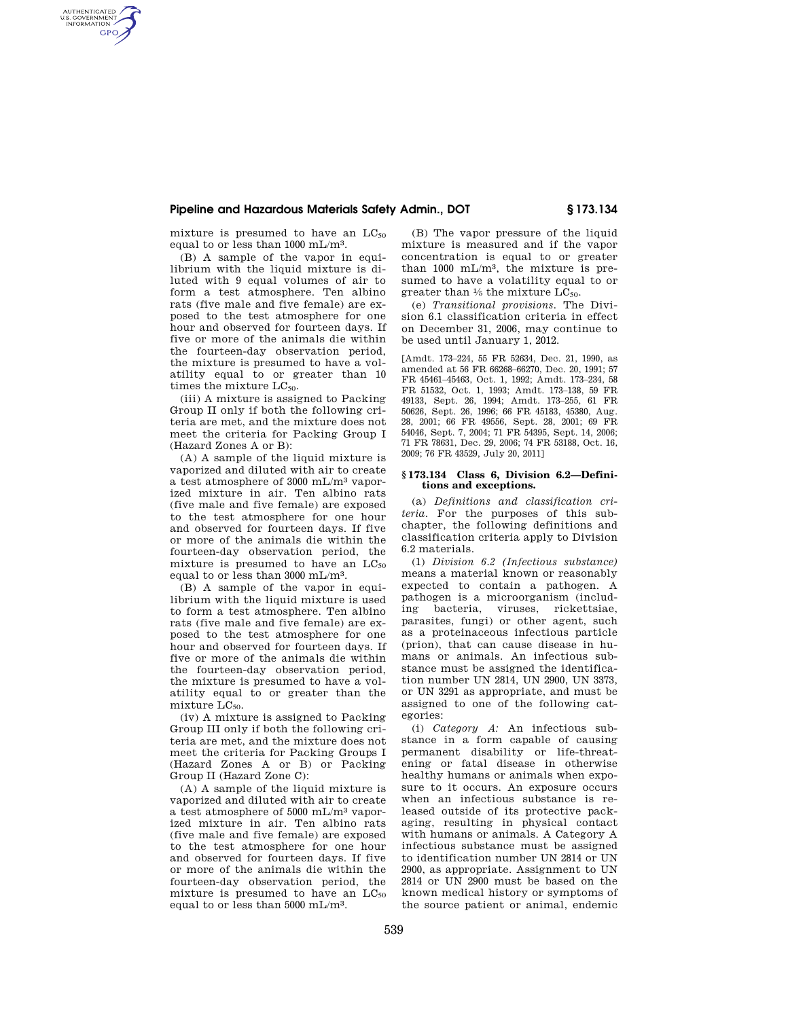### **Pipeline and Hazardous Materials Safety Admin., DOT § 173.134**

mixture is presumed to have an  $LC_{50}$ equal to or less than 1000 mL/m3.

AUTHENTICATED<br>U.S. GOVERNMENT<br>INFORMATION **GPO** 

> (B) A sample of the vapor in equilibrium with the liquid mixture is diluted with 9 equal volumes of air to form a test atmosphere. Ten albino rats (five male and five female) are exposed to the test atmosphere for one hour and observed for fourteen days. If five or more of the animals die within the fourteen-day observation period, the mixture is presumed to have a volatility equal to or greater than 10 times the mixture  $LC_{50}$ .

> (iii) A mixture is assigned to Packing Group II only if both the following criteria are met, and the mixture does not meet the criteria for Packing Group I (Hazard Zones A or B):

> (A) A sample of the liquid mixture is vaporized and diluted with air to create a test atmosphere of 3000 mL/m3 vaporized mixture in air. Ten albino rats (five male and five female) are exposed to the test atmosphere for one hour and observed for fourteen days. If five or more of the animals die within the fourteen-day observation period, the mixture is presumed to have an  $LC_{50}$ equal to or less than 3000 mL/m3.

> (B) A sample of the vapor in equilibrium with the liquid mixture is used to form a test atmosphere. Ten albino rats (five male and five female) are exposed to the test atmosphere for one hour and observed for fourteen days. If five or more of the animals die within the fourteen-day observation period, the mixture is presumed to have a volatility equal to or greater than the mixture  $LC_{50}$ .

> (iv) A mixture is assigned to Packing Group III only if both the following criteria are met, and the mixture does not meet the criteria for Packing Groups I (Hazard Zones A or B) or Packing Group II (Hazard Zone C):

> (A) A sample of the liquid mixture is vaporized and diluted with air to create a test atmosphere of 5000 mL/m3 vaporized mixture in air. Ten albino rats (five male and five female) are exposed to the test atmosphere for one hour and observed for fourteen days. If five or more of the animals die within the fourteen-day observation period, the mixture is presumed to have an  $LC_{50}$ equal to or less than 5000 mL/m3.

(B) The vapor pressure of the liquid mixture is measured and if the vapor concentration is equal to or greater than 1000 mL/m3, the mixture is presumed to have a volatility equal to or greater than  $\frac{1}{5}$  the mixture LC<sub>50</sub>.

(e) *Transitional provisions.* The Division 6.1 classification criteria in effect on December 31, 2006, may continue to be used until January 1, 2012.

[Amdt. 173–224, 55 FR 52634, Dec. 21, 1990, as amended at 56 FR 66268–66270, Dec. 20, 1991; 57 FR 45461–45463, Oct. 1, 1992; Amdt. 173–234, 58 FR 51532, Oct. 1, 1993; Amdt. 173–138, 59 FR 49133, Sept. 26, 1994; Amdt. 173–255, 61 FR 50626, Sept. 26, 1996; 66 FR 45183, 45380, Aug. 28, 2001; 66 FR 49556, Sept. 28, 2001; 69 FR 54046, Sept. 7, 2004; 71 FR 54395, Sept. 14, 2006; 71 FR 78631, Dec. 29, 2006; 74 FR 53188, Oct. 16, 2009; 76 FR 43529, July 20, 2011]

#### **§ 173.134 Class 6, Division 6.2—Definitions and exceptions.**

(a) *Definitions and classification criteria.* For the purposes of this subchapter, the following definitions and classification criteria apply to Division 6.2 materials.

(1) *Division 6.2 (Infectious substance)*  means a material known or reasonably expected to contain a pathogen. A pathogen is a microorganism (including bacteria, viruses, rickettsiae, parasites, fungi) or other agent, such as a proteinaceous infectious particle (prion), that can cause disease in humans or animals. An infectious substance must be assigned the identification number UN 2814, UN 2900, UN 3373, or UN 3291 as appropriate, and must be assigned to one of the following categories:

(i) *Category A:* An infectious substance in a form capable of causing permanent disability or life-threatening or fatal disease in otherwise healthy humans or animals when exposure to it occurs. An exposure occurs when an infectious substance is released outside of its protective packaging, resulting in physical contact with humans or animals. A Category A infectious substance must be assigned to identification number UN 2814 or UN 2900, as appropriate. Assignment to UN 2814 or UN 2900 must be based on the known medical history or symptoms of the source patient or animal, endemic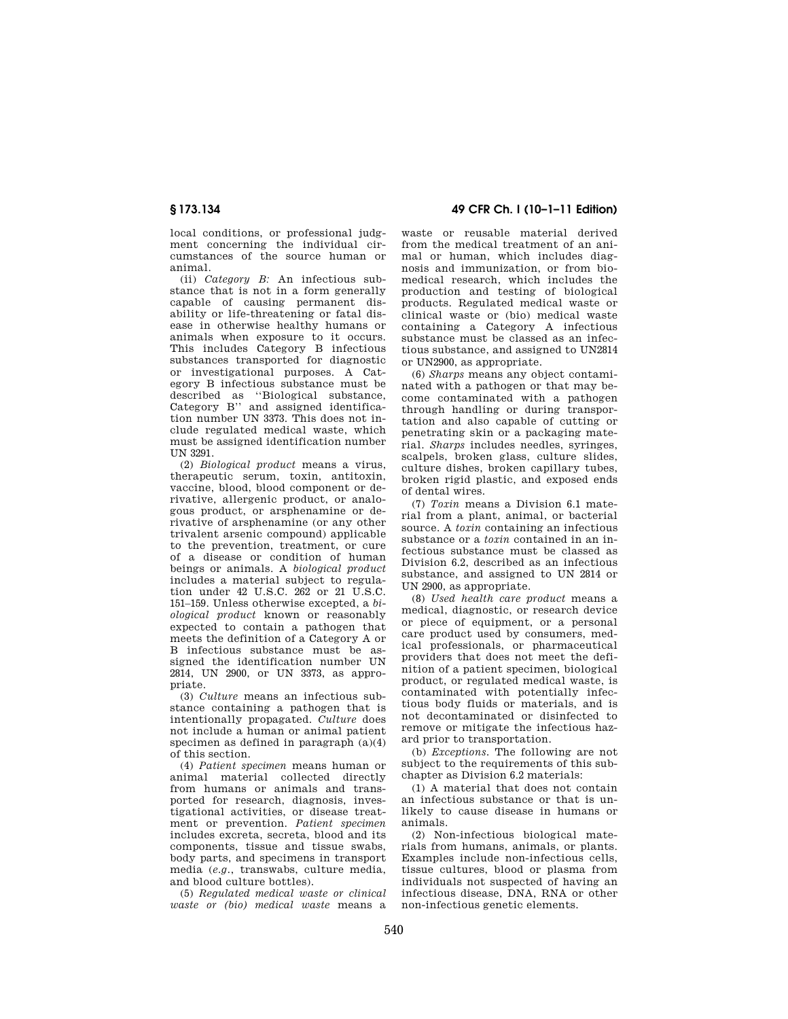local conditions, or professional judgment concerning the individual circumstances of the source human or animal.

(ii) *Category B:* An infectious substance that is not in a form generally capable of causing permanent disability or life-threatening or fatal disease in otherwise healthy humans or animals when exposure to it occurs. This includes Category B infectious substances transported for diagnostic or investigational purposes. A Category B infectious substance must be described as ''Biological substance, Category B'' and assigned identification number UN 3373. This does not include regulated medical waste, which must be assigned identification number UN 3291.

(2) *Biological product* means a virus, therapeutic serum, toxin, antitoxin, vaccine, blood, blood component or derivative, allergenic product, or analogous product, or arsphenamine or derivative of arsphenamine (or any other trivalent arsenic compound) applicable to the prevention, treatment, or cure of a disease or condition of human beings or animals. A *biological product*  includes a material subject to regulation under 42 U.S.C. 262 or 21 U.S.C. 151–159. Unless otherwise excepted, a *biological product* known or reasonably expected to contain a pathogen that meets the definition of a Category A or B infectious substance must be assigned the identification number UN 2814, UN 2900, or UN 3373, as appropriate.

(3) *Culture* means an infectious substance containing a pathogen that is intentionally propagated. *Culture* does not include a human or animal patient specimen as defined in paragraph (a)(4) of this section.

(4) *Patient specimen* means human or animal material collected directly from humans or animals and transported for research, diagnosis, investigational activities, or disease treatment or prevention. *Patient specimen*  includes excreta, secreta, blood and its components, tissue and tissue swabs, body parts, and specimens in transport media (*e.g.*, transwabs, culture media, and blood culture bottles).

(5) *Regulated medical waste or clinical waste or (bio) medical waste* means a

# **§ 173.134 49 CFR Ch. I (10–1–11 Edition)**

waste or reusable material derived from the medical treatment of an animal or human, which includes diagnosis and immunization, or from biomedical research, which includes the production and testing of biological products. Regulated medical waste or clinical waste or (bio) medical waste containing a Category A infectious substance must be classed as an infectious substance, and assigned to UN2814 or UN2900, as appropriate.

(6) *Sharps* means any object contaminated with a pathogen or that may become contaminated with a pathogen through handling or during transportation and also capable of cutting or penetrating skin or a packaging material. *Sharps* includes needles, syringes, scalpels, broken glass, culture slides, culture dishes, broken capillary tubes, broken rigid plastic, and exposed ends of dental wires.

(7) *Toxin* means a Division 6.1 material from a plant, animal, or bacterial source. A *toxin* containing an infectious substance or a *toxin* contained in an infectious substance must be classed as Division 6.2, described as an infectious substance, and assigned to UN 2814 or UN 2900, as appropriate.

(8) *Used health care product* means a medical, diagnostic, or research device or piece of equipment, or a personal care product used by consumers, medical professionals, or pharmaceutical providers that does not meet the definition of a patient specimen, biological product, or regulated medical waste, is contaminated with potentially infectious body fluids or materials, and is not decontaminated or disinfected to remove or mitigate the infectious hazard prior to transportation.

(b) *Exceptions.* The following are not subject to the requirements of this subchapter as Division 6.2 materials:

(1) A material that does not contain an infectious substance or that is unlikely to cause disease in humans or animals.

(2) Non-infectious biological materials from humans, animals, or plants. Examples include non-infectious cells, tissue cultures, blood or plasma from individuals not suspected of having an infectious disease, DNA, RNA or other non-infectious genetic elements.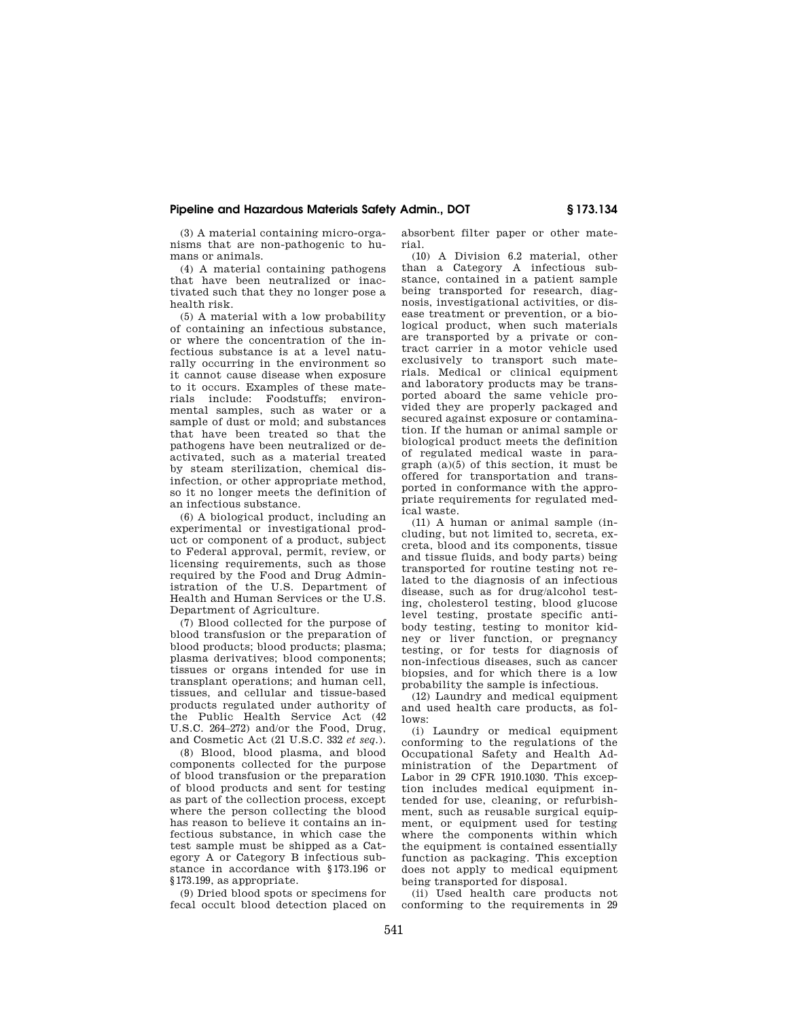## **Pipeline and Hazardous Materials Safety Admin., DOT § 173.134**

(3) A material containing micro-organisms that are non-pathogenic to humans or animals.

(4) A material containing pathogens that have been neutralized or inactivated such that they no longer pose a health risk.

(5) A material with a low probability of containing an infectious substance, or where the concentration of the infectious substance is at a level naturally occurring in the environment so it cannot cause disease when exposure to it occurs. Examples of these materials include: Foodstuffs; environmental samples, such as water or a sample of dust or mold; and substances that have been treated so that the pathogens have been neutralized or deactivated, such as a material treated by steam sterilization, chemical disinfection, or other appropriate method, so it no longer meets the definition of an infectious substance.

(6) A biological product, including an experimental or investigational product or component of a product, subject to Federal approval, permit, review, or licensing requirements, such as those required by the Food and Drug Administration of the U.S. Department of Health and Human Services or the U.S. Department of Agriculture.

(7) Blood collected for the purpose of blood transfusion or the preparation of blood products; blood products; plasma; plasma derivatives; blood components; tissues or organs intended for use in transplant operations; and human cell, tissues, and cellular and tissue-based products regulated under authority of the Public Health Service Act (42 U.S.C. 264–272) and/or the Food, Drug, and Cosmetic Act (21 U.S.C. 332 *et seq.*).

(8) Blood, blood plasma, and blood components collected for the purpose of blood transfusion or the preparation of blood products and sent for testing as part of the collection process, except where the person collecting the blood has reason to believe it contains an infectious substance, in which case the test sample must be shipped as a Category A or Category B infectious substance in accordance with §173.196 or §173.199, as appropriate.

(9) Dried blood spots or specimens for fecal occult blood detection placed on absorbent filter paper or other material.

(10) A Division 6.2 material, other than a Category A infectious substance, contained in a patient sample being transported for research, diagnosis, investigational activities, or disease treatment or prevention, or a biological product, when such materials are transported by a private or contract carrier in a motor vehicle used exclusively to transport such materials. Medical or clinical equipment and laboratory products may be transported aboard the same vehicle provided they are properly packaged and secured against exposure or contamination. If the human or animal sample or biological product meets the definition of regulated medical waste in paragraph (a)(5) of this section, it must be offered for transportation and transported in conformance with the appropriate requirements for regulated medical waste.

(11) A human or animal sample (including, but not limited to, secreta, excreta, blood and its components, tissue and tissue fluids, and body parts) being transported for routine testing not related to the diagnosis of an infectious disease, such as for drug/alcohol testing, cholesterol testing, blood glucose level testing, prostate specific antibody testing, testing to monitor kidney or liver function, or pregnancy testing, or for tests for diagnosis of non-infectious diseases, such as cancer biopsies, and for which there is a low probability the sample is infectious.

(12) Laundry and medical equipment and used health care products, as follows:

(i) Laundry or medical equipment conforming to the regulations of the Occupational Safety and Health Administration of the Department of Labor in 29 CFR 1910.1030. This exception includes medical equipment intended for use, cleaning, or refurbishment, such as reusable surgical equipment, or equipment used for testing where the components within which the equipment is contained essentially function as packaging. This exception does not apply to medical equipment being transported for disposal.

(ii) Used health care products not conforming to the requirements in 29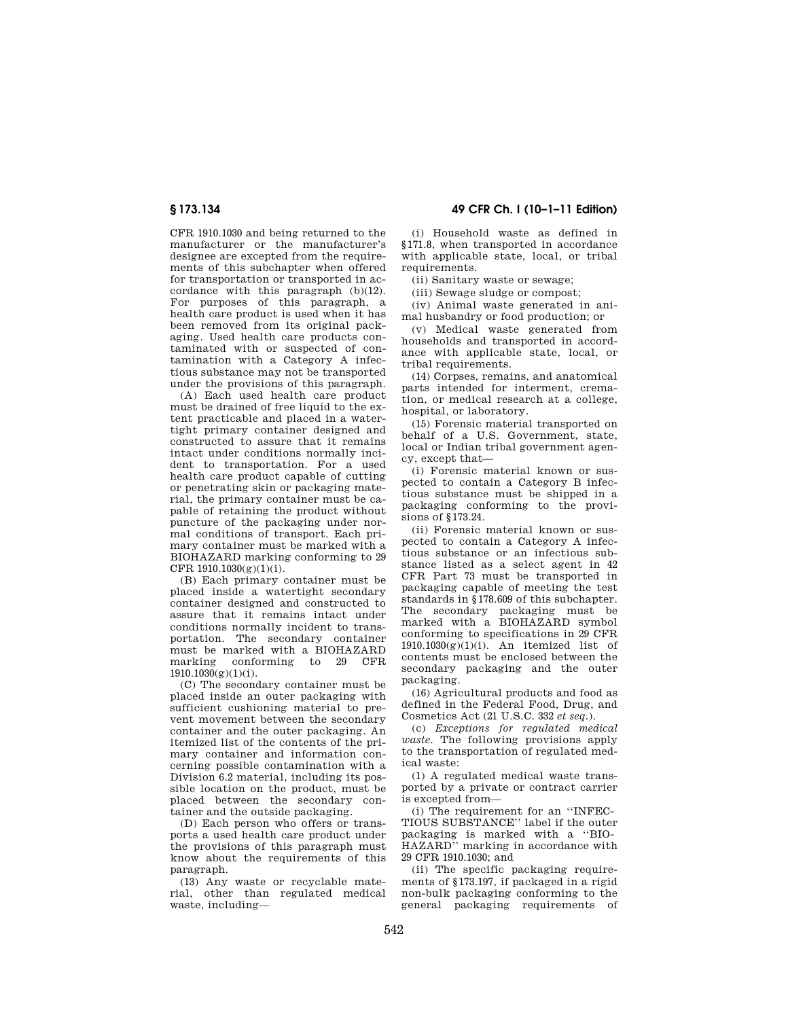CFR 1910.1030 and being returned to the manufacturer or the manufacturer's designee are excepted from the requirements of this subchapter when offered for transportation or transported in accordance with this paragraph (b)(12). For purposes of this paragraph, a health care product is used when it has been removed from its original packaging. Used health care products contaminated with or suspected of contamination with a Category A infectious substance may not be transported under the provisions of this paragraph.

(A) Each used health care product must be drained of free liquid to the extent practicable and placed in a watertight primary container designed and constructed to assure that it remains intact under conditions normally incident to transportation. For a used health care product capable of cutting or penetrating skin or packaging material, the primary container must be capable of retaining the product without puncture of the packaging under normal conditions of transport. Each primary container must be marked with a BIOHAZARD marking conforming to 29 CFR 1910.1030(g)(1)(i).

(B) Each primary container must be placed inside a watertight secondary container designed and constructed to assure that it remains intact under conditions normally incident to transportation. The secondary container must be marked with a BIOHAZARD marking conforming to 29 CFR  $1910.1030(g)(1)(i)$ .

(C) The secondary container must be placed inside an outer packaging with sufficient cushioning material to prevent movement between the secondary container and the outer packaging. An itemized list of the contents of the primary container and information concerning possible contamination with a Division 6.2 material, including its possible location on the product, must be placed between the secondary container and the outside packaging.

(D) Each person who offers or transports a used health care product under the provisions of this paragraph must know about the requirements of this paragraph.

(13) Any waste or recyclable material, other than regulated medical waste, including—

**§ 173.134 49 CFR Ch. I (10–1–11 Edition)** 

(i) Household waste as defined in §171.8, when transported in accordance with applicable state, local, or tribal requirements.

(ii) Sanitary waste or sewage;

(iii) Sewage sludge or compost;

(iv) Animal waste generated in animal husbandry or food production; or

(v) Medical waste generated from households and transported in accordance with applicable state, local, or tribal requirements.

(14) Corpses, remains, and anatomical parts intended for interment, cremation, or medical research at a college, hospital, or laboratory.

(15) Forensic material transported on behalf of a U.S. Government, state, local or Indian tribal government agency, except that—

(i) Forensic material known or suspected to contain a Category B infectious substance must be shipped in a packaging conforming to the provisions of §173.24.

(ii) Forensic material known or suspected to contain a Category A infectious substance or an infectious substance listed as a select agent in 42 CFR Part 73 must be transported in packaging capable of meeting the test standards in §178.609 of this subchapter. The secondary packaging must be marked with a BIOHAZARD symbol conforming to specifications in 29 CFR 1910.1030(g)(1)(i). An itemized list of contents must be enclosed between the secondary packaging and the outer packaging.

(16) Agricultural products and food as defined in the Federal Food, Drug, and Cosmetics Act (21 U.S.C. 332 *et seq.*).

(c) *Exceptions for regulated medical waste.* The following provisions apply to the transportation of regulated medical waste:

(1) A regulated medical waste transported by a private or contract carrier is excepted from—

(i) The requirement for an ''INFEC-TIOUS SUBSTANCE'' label if the outer packaging is marked with a ''BIO-HAZARD'' marking in accordance with 29 CFR 1910.1030; and

(ii) The specific packaging requirements of §173.197, if packaged in a rigid non-bulk packaging conforming to the general packaging requirements of